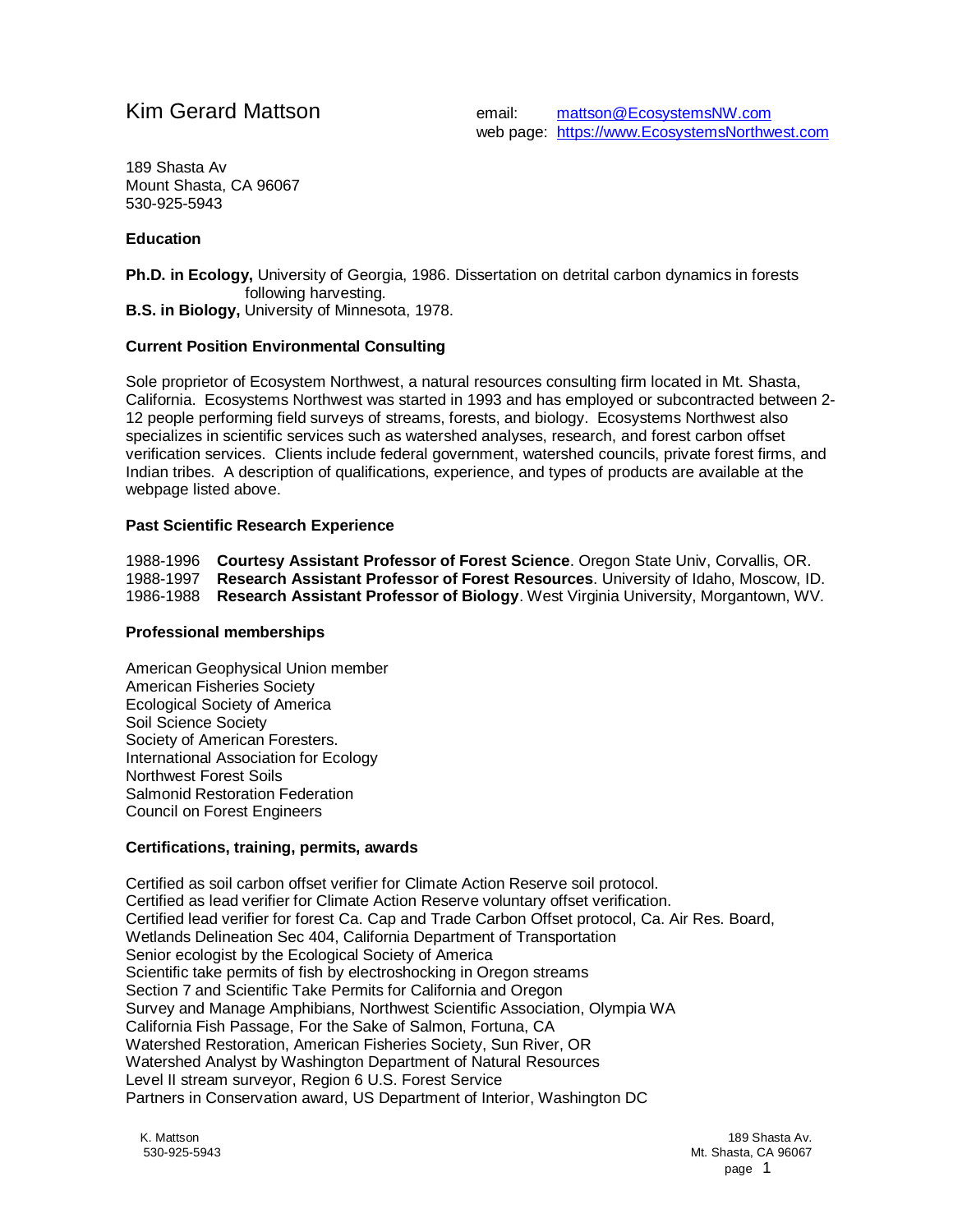Kim Gerard Mattson email: [mattson@EcosystemsNW.com](mailto:mattson@EcosystemsNW.com) web page: [https://www.EcosystemsNorthwest.com](https://www.ecosystemsnorthwest.com/)

189 Shasta Av Mount Shasta, CA 96067 530-925-5943

## **Education**

**Ph.D. in Ecology,** University of Georgia, 1986. Dissertation on detrital carbon dynamics in forests following harvesting. **B.S. in Biology,** University of Minnesota, 1978.

# **Current Position Environmental Consulting**

Sole proprietor of Ecosystem Northwest, a natural resources consulting firm located in Mt. Shasta, California. Ecosystems Northwest was started in 1993 and has employed or subcontracted between 2- 12 people performing field surveys of streams, forests, and biology. Ecosystems Northwest also specializes in scientific services such as watershed analyses, research, and forest carbon offset verification services. Clients include federal government, watershed councils, private forest firms, and Indian tribes. A description of qualifications, experience, and types of products are available at the webpage listed above.

## **Past Scientific Research Experience**

1988-1996 **Courtesy Assistant Professor of Forest Science**. Oregon State Univ, Corvallis, OR. 1988-1997 **Research Assistant Professor of Forest Resources**. University of Idaho, Moscow, ID. 1986-1988 **Research Assistant Professor of Biology**. West Virginia University, Morgantown, WV.

## **Professional memberships**

American Geophysical Union member American Fisheries Society Ecological Society of America Soil Science Society Society of American Foresters. International Association for Ecology Northwest Forest Soils Salmonid Restoration Federation Council on Forest Engineers

# **Certifications, training, permits, awards**

Certified as soil carbon offset verifier for Climate Action Reserve soil protocol. Certified as lead verifier for Climate Action Reserve voluntary offset verification. Certified lead verifier for forest Ca. Cap and Trade Carbon Offset protocol, Ca. Air Res. Board, Wetlands Delineation Sec 404, California Department of Transportation Senior ecologist by the Ecological Society of America Scientific take permits of fish by electroshocking in Oregon streams Section 7 and Scientific Take Permits for California and Oregon Survey and Manage Amphibians, Northwest Scientific Association, Olympia WA California Fish Passage, For the Sake of Salmon, Fortuna, CA Watershed Restoration, American Fisheries Society, Sun River, OR Watershed Analyst by Washington Department of Natural Resources Level II stream surveyor, Region 6 U.S. Forest Service Partners in Conservation award, US Department of Interior, Washington DC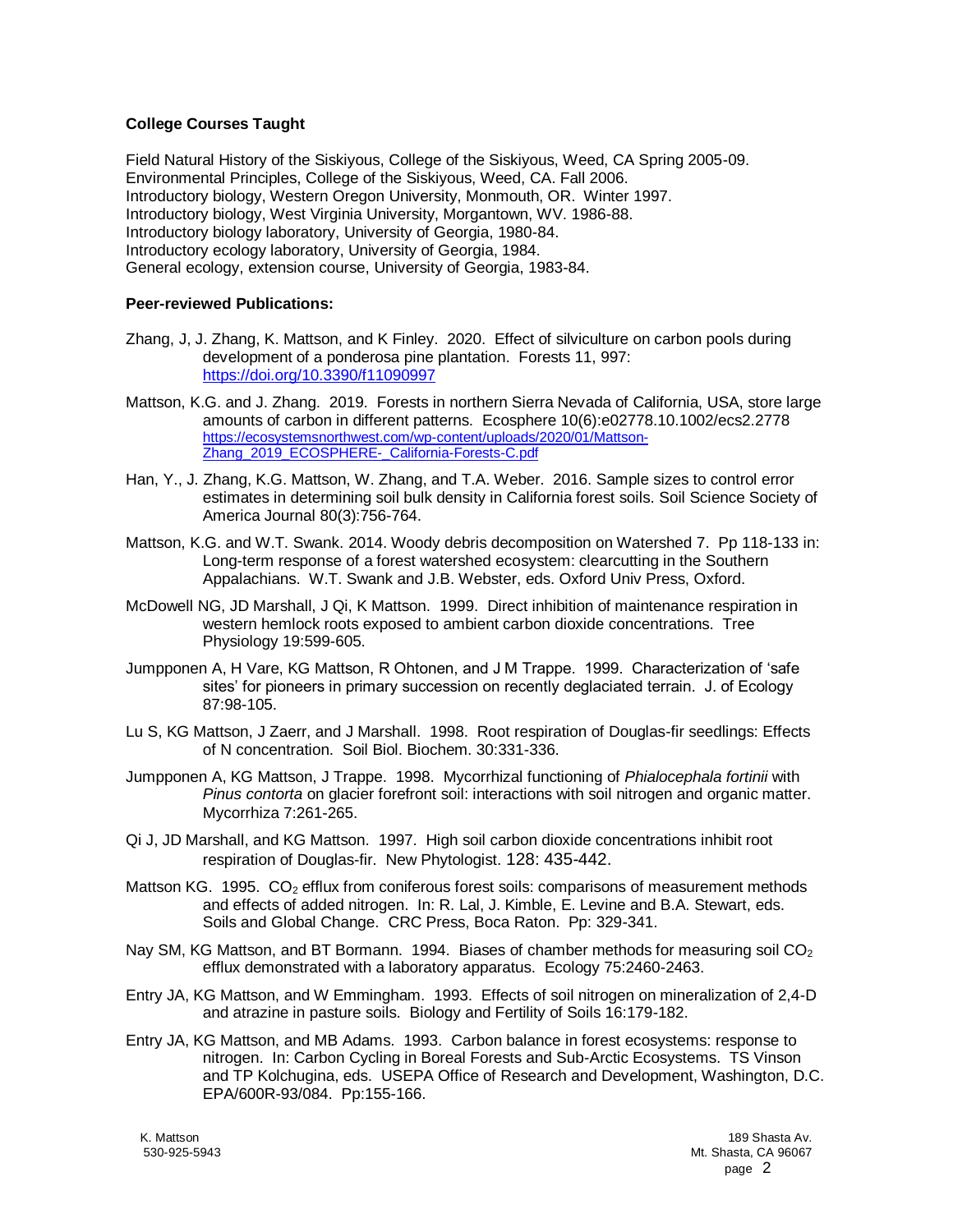## **College Courses Taught**

Field Natural History of the Siskiyous, College of the Siskiyous, Weed, CA Spring 2005-09. Environmental Principles, College of the Siskiyous, Weed, CA. Fall 2006. Introductory biology, Western Oregon University, Monmouth, OR. Winter 1997. Introductory biology, West Virginia University, Morgantown, WV. 1986-88. Introductory biology laboratory, University of Georgia, 1980-84. Introductory ecology laboratory, University of Georgia, 1984. General ecology, extension course, University of Georgia, 1983-84.

## **Peer-reviewed Publications:**

- Zhang, J, J. Zhang, K. Mattson, and K Finley. 2020. Effect of silviculture on carbon pools during development of a ponderosa pine plantation. Forests 11, 997: <https://doi.org/10.3390/f11090997>
- Mattson, K.G. and J. Zhang. 2019. Forests in northern Sierra Nevada of California, USA, store large amounts of carbon in different patterns. Ecosphere 10(6):e02778.10.1002/ecs2.2778 [https://ecosystemsnorthwest.com/wp-content/uploads/2020/01/Mattson-](https://ecosystemsnorthwest.com/wp-content/uploads/2020/01/Mattson-Zhang_2019_ECOSPHERE-_California-Forests-C.pdf)[Zhang\\_2019\\_ECOSPHERE-\\_California-Forests-C.pdf](https://ecosystemsnorthwest.com/wp-content/uploads/2020/01/Mattson-Zhang_2019_ECOSPHERE-_California-Forests-C.pdf)
- Han, Y., J. Zhang, K.G. Mattson, W. Zhang, and T.A. Weber. 2016. Sample sizes to control error estimates in determining soil bulk density in California forest soils. Soil Science Society of America Journal 80(3):756-764.
- Mattson, K.G. and W.T. Swank. 2014. Woody debris decomposition on Watershed 7. Pp 118-133 in: Long-term response of a forest watershed ecosystem: clearcutting in the Southern Appalachians. W.T. Swank and J.B. Webster, eds. Oxford Univ Press, Oxford.
- McDowell NG, JD Marshall, J Qi, K Mattson. 1999. Direct inhibition of maintenance respiration in western hemlock roots exposed to ambient carbon dioxide concentrations. Tree Physiology 19:599-605.
- Jumpponen A, H Vare, KG Mattson, R Ohtonen, and J M Trappe. 1999. Characterization of 'safe sites' for pioneers in primary succession on recently deglaciated terrain. J. of Ecology 87:98-105.
- Lu S, KG Mattson, J Zaerr, and J Marshall. 1998. Root respiration of Douglas-fir seedlings: Effects of N concentration. Soil Biol. Biochem. 30:331-336.
- Jumpponen A, KG Mattson, J Trappe. 1998. Mycorrhizal functioning of *Phialocephala fortinii* with *Pinus contorta* on glacier forefront soil: interactions with soil nitrogen and organic matter. Mycorrhiza 7:261-265.
- Qi J, JD Marshall, and KG Mattson. 1997. High soil carbon dioxide concentrations inhibit root respiration of Douglas-fir. New Phytologist. 128: 435-442.
- Mattson KG. 1995.  $CO<sub>2</sub>$  efflux from coniferous forest soils: comparisons of measurement methods and effects of added nitrogen. In: R. Lal, J. Kimble, E. Levine and B.A. Stewart, eds. Soils and Global Change. CRC Press, Boca Raton. Pp: 329-341.
- Nay SM, KG Mattson, and BT Bormann. 1994. Biases of chamber methods for measuring soil  $CO<sub>2</sub>$ efflux demonstrated with a laboratory apparatus. Ecology 75:2460-2463.
- Entry JA, KG Mattson, and W Emmingham. 1993. Effects of soil nitrogen on mineralization of 2,4-D and atrazine in pasture soils. Biology and Fertility of Soils 16:179-182.
- Entry JA, KG Mattson, and MB Adams. 1993. Carbon balance in forest ecosystems: response to nitrogen. In: Carbon Cycling in Boreal Forests and Sub-Arctic Ecosystems. TS Vinson and TP Kolchugina, eds. USEPA Office of Research and Development, Washington, D.C. EPA/600R-93/084. Pp:155-166.